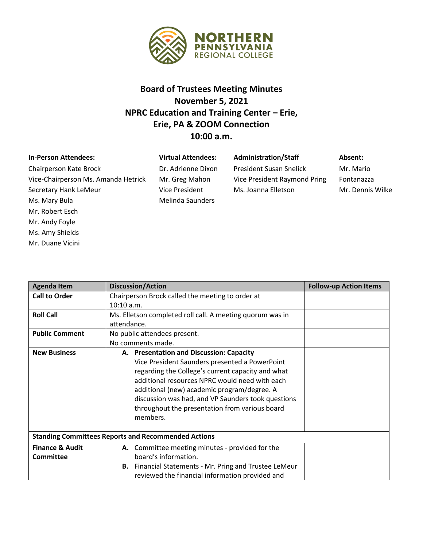

## **Board of Trustees Meeting Minutes November 5, 2021 NPRC Education and Training Center – Erie, Erie, PA & ZOOM Connection 10:00 a.m.**

| <b>In-Person Attendees:</b>         | <b>Virtual Attendees:</b> | <b>Administration/Staff</b>    | Absent: |
|-------------------------------------|---------------------------|--------------------------------|---------|
| Chairperson Kate Brock              | Dr. Adrienne Dixon        | <b>President Susan Snelick</b> | Mr. Mai |
| Vice-Chairperson Ms. Amanda Hetrick | Mr. Greg Mahon            | Vice President Raymond Pring   | Fontana |
| Secretary Hank LeMeur               | <b>Vice President</b>     | Ms. Joanna Elletson            | Mr. Der |
| Ms. Mary Bula                       | <b>Melinda Saunders</b>   |                                |         |
| Mr. Robert Esch                     |                           |                                |         |
| Mr. Andy Foyle                      |                           |                                |         |

Ms. Amy Shields Mr. Duane Vicini Mr. Mario Fontanazza Mr. Dennis Wilke

| <b>Agenda Item</b>                                         | <b>Discussion/Action</b>                                      | <b>Follow-up Action Items</b> |  |  |
|------------------------------------------------------------|---------------------------------------------------------------|-------------------------------|--|--|
| <b>Call to Order</b>                                       | Chairperson Brock called the meeting to order at              |                               |  |  |
|                                                            | 10:10 a.m.                                                    |                               |  |  |
| <b>Roll Call</b>                                           | Ms. Elletson completed roll call. A meeting quorum was in     |                               |  |  |
|                                                            | attendance.                                                   |                               |  |  |
| <b>Public Comment</b>                                      | No public attendees present.                                  |                               |  |  |
|                                                            | No comments made.                                             |                               |  |  |
| <b>New Business</b>                                        | A. Presentation and Discussion: Capacity                      |                               |  |  |
|                                                            | Vice President Saunders presented a PowerPoint                |                               |  |  |
|                                                            | regarding the College's current capacity and what             |                               |  |  |
|                                                            | additional resources NPRC would need with each                |                               |  |  |
|                                                            | additional (new) academic program/degree. A                   |                               |  |  |
|                                                            | discussion was had, and VP Saunders took questions            |                               |  |  |
|                                                            | throughout the presentation from various board                |                               |  |  |
|                                                            | members.                                                      |                               |  |  |
|                                                            |                                                               |                               |  |  |
| <b>Standing Committees Reports and Recommended Actions</b> |                                                               |                               |  |  |
| <b>Finance &amp; Audit</b>                                 | A. Committee meeting minutes - provided for the               |                               |  |  |
| <b>Committee</b>                                           | board's information.                                          |                               |  |  |
|                                                            | <b>B.</b> Financial Statements - Mr. Pring and Trustee LeMeur |                               |  |  |
|                                                            | reviewed the financial information provided and               |                               |  |  |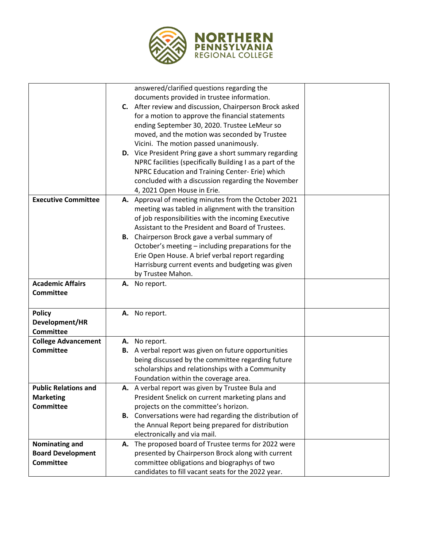

|                                      |    | answered/clarified questions regarding the                                                        |  |
|--------------------------------------|----|---------------------------------------------------------------------------------------------------|--|
|                                      |    | documents provided in trustee information.                                                        |  |
|                                      |    | C. After review and discussion, Chairperson Brock asked                                           |  |
|                                      |    | for a motion to approve the financial statements                                                  |  |
|                                      |    | ending September 30, 2020. Trustee LeMeur so                                                      |  |
|                                      |    | moved, and the motion was seconded by Trustee                                                     |  |
|                                      |    | Vicini. The motion passed unanimously.                                                            |  |
|                                      |    | D. Vice President Pring gave a short summary regarding                                            |  |
|                                      |    |                                                                                                   |  |
|                                      |    | NPRC facilities (specifically Building I as a part of the                                         |  |
|                                      |    | NPRC Education and Training Center- Erie) which                                                   |  |
|                                      |    | concluded with a discussion regarding the November                                                |  |
|                                      |    | 4, 2021 Open House in Erie.                                                                       |  |
| <b>Executive Committee</b>           |    | A. Approval of meeting minutes from the October 2021                                              |  |
|                                      |    | meeting was tabled in alignment with the transition                                               |  |
|                                      |    | of job responsibilities with the incoming Executive                                               |  |
|                                      |    | Assistant to the President and Board of Trustees.                                                 |  |
|                                      |    | <b>B.</b> Chairperson Brock gave a verbal summary of                                              |  |
|                                      |    | October's meeting – including preparations for the                                                |  |
|                                      |    | Erie Open House. A brief verbal report regarding                                                  |  |
|                                      |    | Harrisburg current events and budgeting was given                                                 |  |
|                                      |    | by Trustee Mahon.                                                                                 |  |
|                                      |    |                                                                                                   |  |
| <b>Academic Affairs</b>              | А. | No report.                                                                                        |  |
| <b>Committee</b>                     |    |                                                                                                   |  |
|                                      |    |                                                                                                   |  |
| <b>Policy</b>                        |    | A. No report.                                                                                     |  |
| Development/HR                       |    |                                                                                                   |  |
| <b>Committee</b>                     |    |                                                                                                   |  |
| <b>College Advancement</b>           |    | A. No report.                                                                                     |  |
| <b>Committee</b>                     |    | <b>B.</b> A verbal report was given on future opportunities                                       |  |
|                                      |    | being discussed by the committee regarding future                                                 |  |
|                                      |    | scholarships and relationships with a Community                                                   |  |
|                                      |    | Foundation within the coverage area.                                                              |  |
| <b>Public Relations and</b>          |    | A. A verbal report was given by Trustee Bula and                                                  |  |
|                                      |    |                                                                                                   |  |
| <b>Marketing</b><br><b>Committee</b> |    | President Snelick on current marketing plans and                                                  |  |
|                                      |    | projects on the committee's horizon.                                                              |  |
|                                      |    | B. Conversations were had regarding the distribution of                                           |  |
|                                      |    | the Annual Report being prepared for distribution                                                 |  |
|                                      |    | electronically and via mail.                                                                      |  |
| <b>Nominating and</b>                |    | A. The proposed board of Trustee terms for 2022 were                                              |  |
| <b>Board Development</b>             |    | presented by Chairperson Brock along with current                                                 |  |
|                                      |    |                                                                                                   |  |
| <b>Committee</b>                     |    | committee obligations and biographys of two<br>candidates to fill vacant seats for the 2022 year. |  |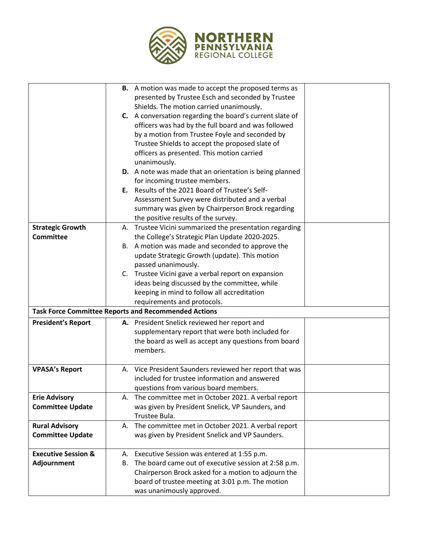

|                                |    | <b>B.</b> A motion was made to accept the proposed terms as    |  |
|--------------------------------|----|----------------------------------------------------------------|--|
|                                |    | presented by Trustee Esch and seconded by Trustee              |  |
|                                |    | Shields. The motion carried unanimously.                       |  |
|                                |    | C. A conversation regarding the board's current slate of       |  |
|                                |    | officers was had by the full board and was followed            |  |
|                                |    | by a motion from Trustee Foyle and seconded by                 |  |
|                                |    | Trustee Shields to accept the proposed slate of                |  |
|                                |    | officers as presented. This motion carried                     |  |
|                                |    | unanimously.                                                   |  |
|                                |    | <b>D.</b> A note was made that an orientation is being planned |  |
|                                |    | for incoming trustee members.                                  |  |
|                                |    | E. Results of the 2021 Board of Trustee's Self-                |  |
|                                |    | Assessment Survey were distributed and a verbal                |  |
|                                |    | summary was given by Chairperson Brock regarding               |  |
|                                |    | the positive results of the survey.                            |  |
| <b>Strategic Growth</b>        |    | A. Trustee Vicini summarized the presentation regarding        |  |
| <b>Committee</b>               |    | the College's Strategic Plan Update 2020-2025.                 |  |
|                                |    | B. A motion was made and seconded to approve the               |  |
|                                |    | update Strategic Growth (update). This motion                  |  |
|                                |    | passed unanimously.                                            |  |
|                                |    | C. Trustee Vicini gave a verbal report on expansion            |  |
|                                |    | ideas being discussed by the committee, while                  |  |
|                                |    | keeping in mind to follow all accreditation                    |  |
|                                |    | requirements and protocols.                                    |  |
|                                |    | <b>Task Force Committee Reports and Recommended Actions</b>    |  |
| <b>President's Report</b>      |    | A. President Snelick reviewed her report and                   |  |
|                                |    | supplementary report that were both included for               |  |
|                                |    | the board as well as accept any questions from board           |  |
|                                |    | members.                                                       |  |
|                                |    |                                                                |  |
| <b>VPASA's Report</b>          |    | A. Vice President Saunders reviewed her report that was        |  |
|                                |    | included for trustee information and answered                  |  |
|                                |    | questions from various board members.                          |  |
| <b>Erie Advisory</b>           |    | A. The committee met in October 2021. A verbal report          |  |
| <b>Committee Update</b>        |    | was given by President Snelick, VP Saunders, and               |  |
|                                |    | Trustee Bula.                                                  |  |
| <b>Rural Advisory</b>          | А. | The committee met in October 2021. A verbal report             |  |
| <b>Committee Update</b>        |    | was given by President Snelick and VP Saunders.                |  |
|                                |    |                                                                |  |
| <b>Executive Session &amp;</b> |    | A. Executive Session was entered at 1:55 p.m.                  |  |
| <b>Adjournment</b>             | В. | The board came out of executive session at 2:58 p.m.           |  |
|                                |    | Chairperson Brock asked for a motion to adjourn the            |  |
|                                |    | board of trustee meeting at 3:01 p.m. The motion               |  |
|                                |    | was unanimously approved.                                      |  |